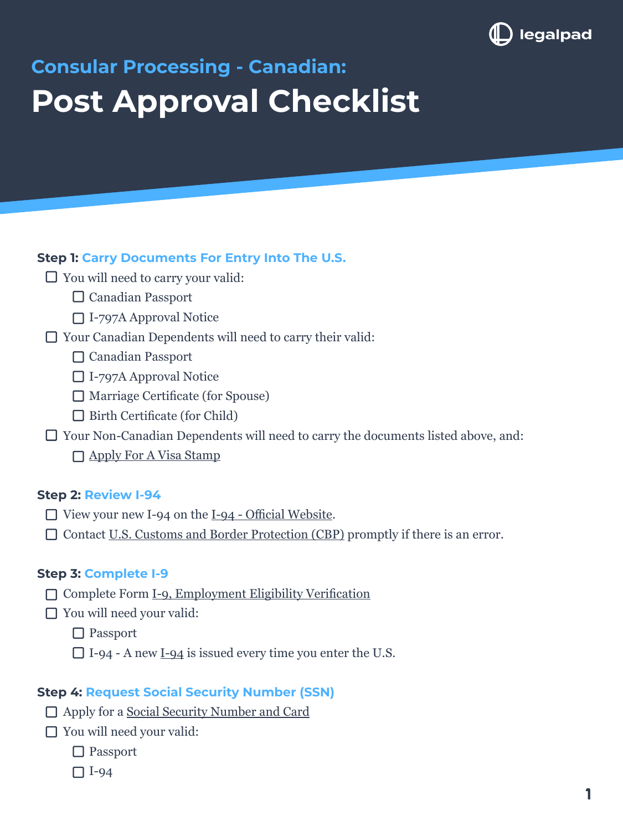

# **Consular Processing - Canadian: Post Approval Checklist**

## **Step 1: Carry Documents For Entry Into The U.S.**

- $\Box$  You will need to carry your valid:
	- □ Canadian Passport
	- I-797A Approval Notice
- Your Canadian Dependents will need to carry their valid:
	- □ Canadian Passport
	- □ I-797A Approval Notice
	- $\Box$  Marriage Certificate (for Spouse)
	- $\Box$  Birth Certificate (for Child)
- □ Your Non-Canadian Dependents will need to carry the documents listed above, and: □ [Apply For A Visa Stamp](https://legalpad.io/blog/what-happens-after-your-petition-is-approved-by-uscis/)

#### **Step 2: Review I-94**

- $\Box$  View your new I-94 on the [I-94 Official Website](https://i94.cbp.dhs.gov/I94/#/home).
- □ Contact <u>U.S. Customs and Border Protection (CBP)</u> promptly if there is an error.

#### **Step 3: Complete I-9**

- Complete Form [I-9, Employment Eligibility Verification](https://www.uscis.gov/i-9)
- □ You will need your valid:
	- □ Passport
	- I-94 A new [I-94](https://i94.cbp.dhs.gov/I94/#/home) is issued every time you enter the U.S.

#### **Step 4: Request Social Security Number (SSN)**

- □ Apply for a [Social Security Number and Card](https://www.ssa.gov/ssnumber/)
- □ You will need your valid:
	- □ Passport
	- I-94